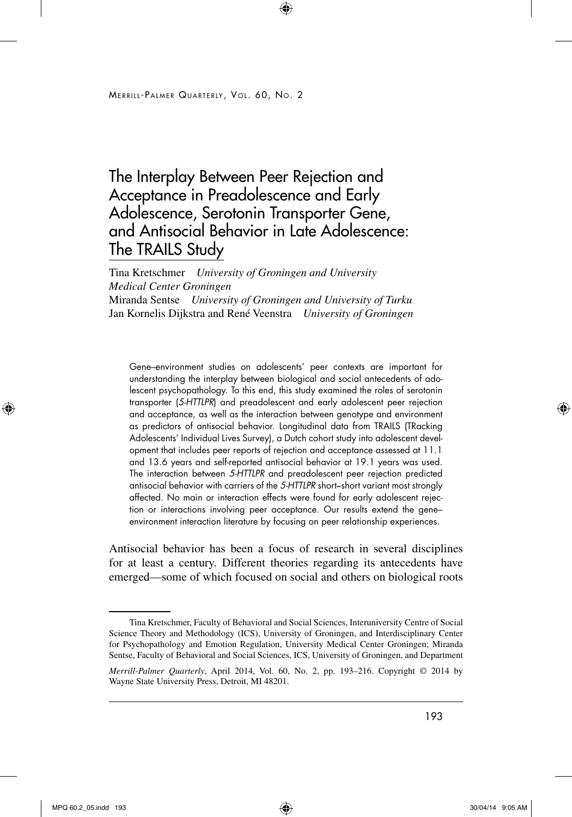# The Interplay Between Peer Rejection and Acceptance in Preadolescence and Early Adolescence, Serotonin Transporter Gene, and Antisocial Behavior in Late Adolescence: The TRAILS Study

Tina Kretschmer *University of Groningen and University Medical Center Groningen* Miranda Sentse *University of Groningen and University of Turku* Jan Kornelis Dijkstra and René Veenstra *University of Groningen*

Gene–environment studies on adolescents' peer contexts are important for understanding the interplay between biological and social antecedents of adolescent psychopathology. To this end, this study examined the roles of serotonin transporter (*5-HTTLPR*) and preadolescent and early adolescent peer rejection and acceptance, as well as the interaction between genotype and environment as predictors of antisocial behavior. Longitudinal data from TRAILS (TRacking Adolescents' Individual Lives Survey), a Dutch cohort study into adolescent development that includes peer reports of rejection and acceptance assessed at 11.1 and 13.6 years and self-reported antisocial behavior at 19.1 years was used. The interaction between *5-HTTLPR* and preadolescent peer rejection predicted antisocial behavior with carriers of the *5-HTTLPR* short–short variant most strongly affected. No main or interaction effects were found for early adolescent rejection or interactions involving peer acceptance. Our results extend the gene– environment interaction literature by focusing on peer relationship experiences.

Antisocial behavior has been a focus of research in several disciplines for at least a century. Different theories regarding its antecedents have emerged—some of which focused on social and others on biological roots

Tina Kretschmer, Faculty of Behavioral and Social Sciences, Interuniversity Centre of Social Science Theory and Methodology (ICS), University of Groningen, and Interdisciplinary Center for Psychopathology and Emotion Regulation, University Medical Center Groningen; Miranda Sentse, Faculty of Behavioral and Social Sciences, ICS, University of Groningen, and Department

*Merrill-Palmer Quarterly*, April 2014, Vol. 60, No. 2, pp. 193–216. Copyright © 2014 by Wayne State University Press, Detroit, MI 48201.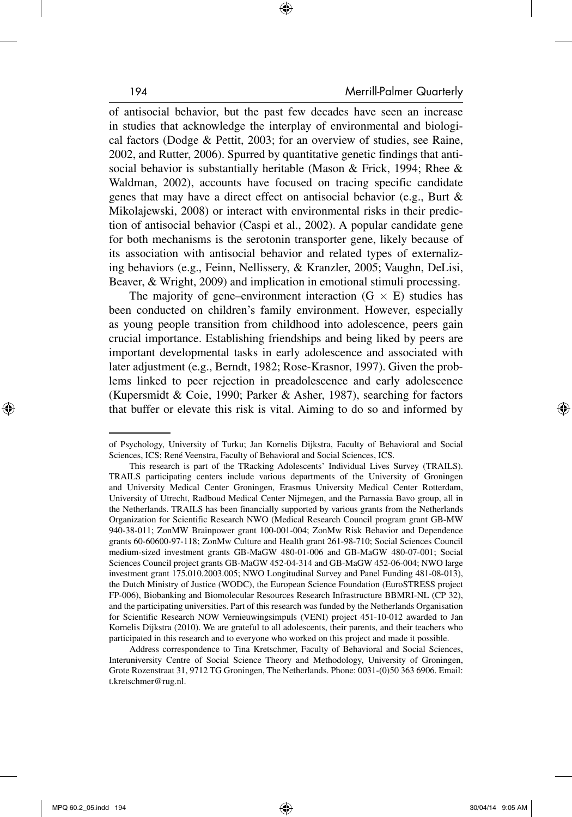of antisocial behavior, but the past few decades have seen an increase in studies that acknowledge the interplay of environmental and biological factors (Dodge & Pettit, 2003; for an overview of studies, see Raine, 2002, and Rutter, 2006). Spurred by quantitative genetic findings that antisocial behavior is substantially heritable (Mason & Frick, 1994; Rhee & Waldman, 2002), accounts have focused on tracing specific candidate genes that may have a direct effect on antisocial behavior (e.g., Burt & Mikolajewski, 2008) or interact with environmental risks in their prediction of antisocial behavior (Caspi et al., 2002). A popular candidate gene for both mechanisms is the serotonin transporter gene, likely because of its association with antisocial behavior and related types of externalizing behaviors (e.g., Feinn, Nellissery, & Kranzler, 2005; Vaughn, DeLisi, Beaver, & Wright, 2009) and implication in emotional stimuli processing.

The majority of gene–environment interaction  $(G \times E)$  studies has been conducted on children's family environment. However, especially as young people transition from childhood into adolescence, peers gain crucial importance. Establishing friendships and being liked by peers are important developmental tasks in early adolescence and associated with later adjustment (e.g., Berndt, 1982; Rose-Krasnor, 1997). Given the problems linked to peer rejection in preadolescence and early adolescence (Kupersmidt & Coie, 1990; Parker & Asher, 1987), searching for factors that buffer or elevate this risk is vital. Aiming to do so and informed by

of Psychology, University of Turku; Jan Kornelis Dijkstra, Faculty of Behavioral and Social Sciences, ICS; René Veenstra, Faculty of Behavioral and Social Sciences, ICS.

This research is part of the TRacking Adolescents' Individual Lives Survey (TRAILS). TRAILS participating centers include various departments of the University of Groningen and University Medical Center Groningen, Erasmus University Medical Center Rotterdam, University of Utrecht, Radboud Medical Center Nijmegen, and the Parnassia Bavo group, all in the Netherlands. TRAILS has been financially supported by various grants from the Netherlands Organization for Scientific Research NWO (Medical Research Council program grant GB-MW 940-38-011; ZonMW Brainpower grant 100-001-004; ZonMw Risk Behavior and Dependence grants 60-60600-97-118; ZonMw Culture and Health grant 261-98-710; Social Sciences Council medium-sized investment grants GB-MaGW 480-01-006 and GB-MaGW 480-07-001; Social Sciences Council project grants GB-MaGW 452-04-314 and GB-MaGW 452-06-004; NWO large investment grant 175.010.2003.005; NWO Longitudinal Survey and Panel Funding 481-08-013), the Dutch Ministry of Justice (WODC), the European Science Foundation (EuroSTRESS project FP-006), Biobanking and Biomolecular Resources Research Infrastructure BBMRI-NL (CP 32), and the participating universities. Part of this research was funded by the Netherlands Organisation for Scientific Research NOW Vernieuwingsimpuls (VENI) project 451-10-012 awarded to Jan Kornelis Dijkstra (2010). We are grateful to all adolescents, their parents, and their teachers who participated in this research and to everyone who worked on this project and made it possible.

Address correspondence to Tina Kretschmer, Faculty of Behavioral and Social Sciences, Interuniversity Centre of Social Science Theory and Methodology, University of Groningen, Grote Rozenstraat 31, 9712 TG Groningen, The Netherlands. Phone: 0031-(0)50 363 6906. Email: t.kretschmer@rug.nl.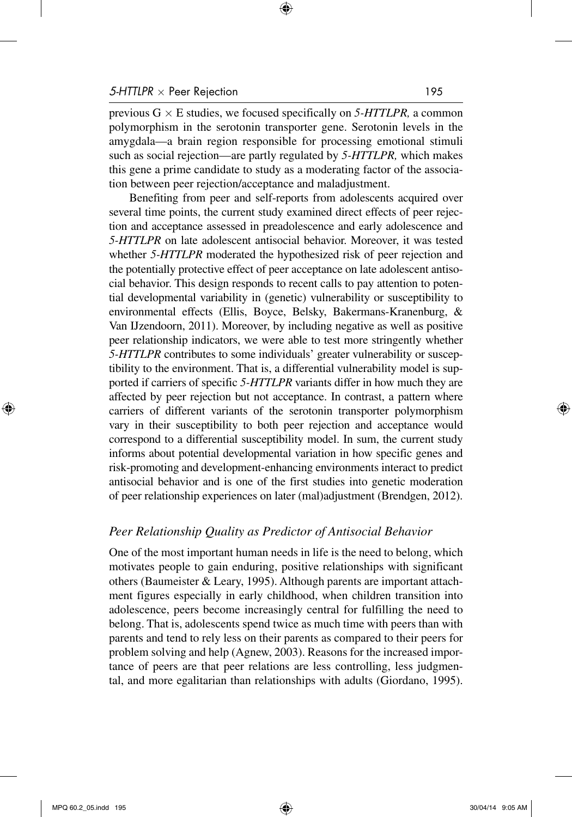previous  $G \times E$  studies, we focused specifically on 5-HTTLPR, a common polymorphism in the serotonin transporter gene. Serotonin levels in the amygdala—a brain region responsible for processing emotional stimuli such as social rejection—are partly regulated by *5-HTTLPR,* which makes this gene a prime candidate to study as a moderating factor of the association between peer rejection/acceptance and maladjustment.

Benefiting from peer and self-reports from adolescents acquired over several time points, the current study examined direct effects of peer rejection and acceptance assessed in preadolescence and early adolescence and *5-HTTLPR* on late adolescent antisocial behavior. Moreover, it was tested whether *5-HTTLPR* moderated the hypothesized risk of peer rejection and the potentially protective effect of peer acceptance on late adolescent antisocial behavior. This design responds to recent calls to pay attention to potential developmental variability in (genetic) vulnerability or susceptibility to environmental effects (Ellis, Boyce, Belsky, Bakermans-Kranenburg, & Van IJzendoorn, 2011). Moreover, by including negative as well as positive peer relationship indicators, we were able to test more stringently whether *5-HTTLPR* contributes to some individuals' greater vulnerability or susceptibility to the environment. That is, a differential vulnerability model is supported if carriers of specific *5-HTTLPR* variants differ in how much they are affected by peer rejection but not acceptance. In contrast, a pattern where carriers of different variants of the serotonin transporter polymorphism vary in their susceptibility to both peer rejection and acceptance would correspond to a differential susceptibility model. In sum, the current study informs about potential developmental variation in how specific genes and risk-promoting and development-enhancing environments interact to predict antisocial behavior and is one of the first studies into genetic moderation of peer relationship experiences on later (mal)adjustment (Brendgen, 2012).

## *Peer Relationship Quality as Predictor of Antisocial Behavior*

One of the most important human needs in life is the need to belong, which motivates people to gain enduring, positive relationships with significant others (Baumeister & Leary, 1995). Although parents are important attachment figures especially in early childhood, when children transition into adolescence, peers become increasingly central for fulfilling the need to belong. That is, adolescents spend twice as much time with peers than with parents and tend to rely less on their parents as compared to their peers for problem solving and help (Agnew, 2003). Reasons for the increased importance of peers are that peer relations are less controlling, less judgmental, and more egalitarian than relationships with adults (Giordano, 1995).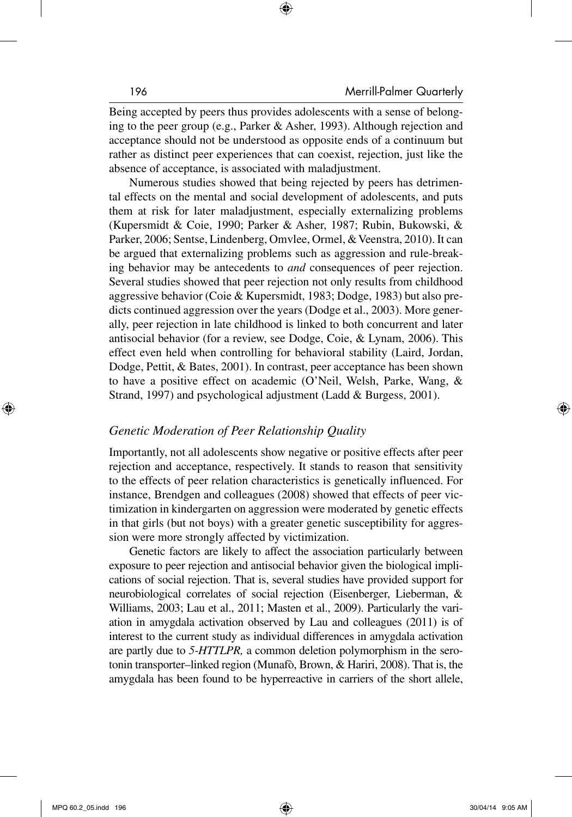Being accepted by peers thus provides adolescents with a sense of belonging to the peer group (e.g., Parker & Asher, 1993). Although rejection and acceptance should not be understood as opposite ends of a continuum but rather as distinct peer experiences that can coexist, rejection, just like the absence of acceptance, is associated with maladjustment.

Numerous studies showed that being rejected by peers has detrimental effects on the mental and social development of adolescents, and puts them at risk for later maladjustment, especially externalizing problems (Kupersmidt & Coie, 1990; Parker & Asher, 1987; Rubin, Bukowski, & Parker, 2006; Sentse, Lindenberg, Omvlee, Ormel, & Veenstra, 2010). It can be argued that externalizing problems such as aggression and rule-breaking behavior may be antecedents to *and* consequences of peer rejection. Several studies showed that peer rejection not only results from childhood aggressive behavior (Coie & Kupersmidt, 1983; Dodge, 1983) but also predicts continued aggression over the years (Dodge et al., 2003). More generally, peer rejection in late childhood is linked to both concurrent and later antisocial behavior (for a review, see Dodge, Coie, & Lynam, 2006). This effect even held when controlling for behavioral stability (Laird, Jordan, Dodge, Pettit, & Bates, 2001). In contrast, peer acceptance has been shown to have a positive effect on academic (O'Neil, Welsh, Parke, Wang, & Strand, 1997) and psychological adjustment (Ladd & Burgess, 2001).

## *Genetic Moderation of Peer Relationship Quality*

Importantly, not all adolescents show negative or positive effects after peer rejection and acceptance, respectively. It stands to reason that sensitivity to the effects of peer relation characteristics is genetically influenced. For instance, Brendgen and colleagues (2008) showed that effects of peer victimization in kindergarten on aggression were moderated by genetic effects in that girls (but not boys) with a greater genetic susceptibility for aggression were more strongly affected by victimization.

Genetic factors are likely to affect the association particularly between exposure to peer rejection and antisocial behavior given the biological implications of social rejection. That is, several studies have provided support for neurobiological correlates of social rejection (Eisenberger, Lieberman, & Williams, 2003; Lau et al., 2011; Masten et al., 2009). Particularly the variation in amygdala activation observed by Lau and colleagues (2011) is of interest to the current study as individual differences in amygdala activation are partly due to *5-HTTLPR,* a common deletion polymorphism in the serotonin transporter–linked region (Munafò, Brown, & Hariri, 2008). That is, the amygdala has been found to be hyperreactive in carriers of the short allele,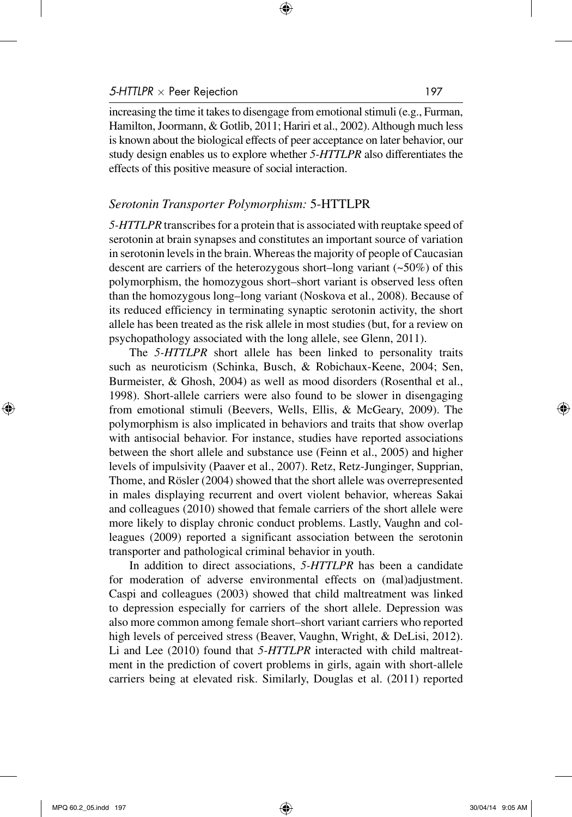increasing the time it takes to disengage from emotional stimuli (e.g., Furman, Hamilton, Joormann, & Gotlib, 2011; Hariri et al., 2002). Although much less is known about the biological effects of peer acceptance on later behavior, our study design enables us to explore whether *5-HTTLPR* also differentiates the effects of this positive measure of social interaction.

#### *Serotonin Transporter Polymorphism:* 5-HTTLPR

*5-HTTLPR* transcribes for a protein that is associated with reuptake speed of serotonin at brain synapses and constitutes an important source of variation in serotonin levels in the brain. Whereas the majority of people of Caucasian descent are carriers of the heterozygous short–long variant  $(-50\%)$  of this polymorphism, the homozygous short–short variant is observed less often than the homozygous long–long variant (Noskova et al., 2008). Because of its reduced efficiency in terminating synaptic serotonin activity, the short allele has been treated as the risk allele in most studies (but, for a review on psychopathology associated with the long allele, see Glenn, 2011).

The *5-HTTLPR* short allele has been linked to personality traits such as neuroticism (Schinka, Busch, & Robichaux-Keene, 2004; Sen, Burmeister, & Ghosh, 2004) as well as mood disorders (Rosenthal et al., 1998). Short-allele carriers were also found to be slower in disengaging from emotional stimuli (Beevers, Wells, Ellis, & McGeary, 2009). The polymorphism is also implicated in behaviors and traits that show overlap with antisocial behavior. For instance, studies have reported associations between the short allele and substance use (Feinn et al., 2005) and higher levels of impulsivity (Paaver et al., 2007). Retz, Retz-Junginger, Supprian, Thome, and Rösler (2004) showed that the short allele was overrepresented in males displaying recurrent and overt violent behavior, whereas Sakai and colleagues (2010) showed that female carriers of the short allele were more likely to display chronic conduct problems. Lastly, Vaughn and colleagues (2009) reported a significant association between the serotonin transporter and pathological criminal behavior in youth.

In addition to direct associations, *5-HTTLPR* has been a candidate for moderation of adverse environmental effects on (mal)adjustment. Caspi and colleagues (2003) showed that child maltreatment was linked to depression especially for carriers of the short allele. Depression was also more common among female short–short variant carriers who reported high levels of perceived stress (Beaver, Vaughn, Wright, & DeLisi, 2012). Li and Lee (2010) found that *5-HTTLPR* interacted with child maltreatment in the prediction of covert problems in girls, again with short-allele carriers being at elevated risk. Similarly, Douglas et al. (2011) reported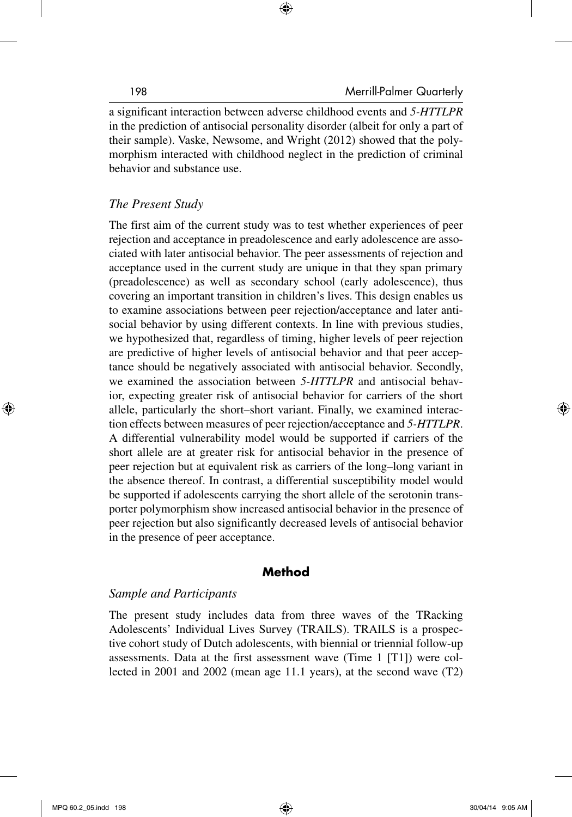a significant interaction between adverse childhood events and *5-HTTLPR* in the prediction of antisocial personality disorder (albeit for only a part of their sample). Vaske, Newsome, and Wright (2012) showed that the polymorphism interacted with childhood neglect in the prediction of criminal behavior and substance use.

# *The Present Study*

The first aim of the current study was to test whether experiences of peer rejection and acceptance in preadolescence and early adolescence are associated with later antisocial behavior. The peer assessments of rejection and acceptance used in the current study are unique in that they span primary (preadolescence) as well as secondary school (early adolescence), thus covering an important transition in children's lives. This design enables us to examine associations between peer rejection/acceptance and later antisocial behavior by using different contexts. In line with previous studies, we hypothesized that, regardless of timing, higher levels of peer rejection are predictive of higher levels of antisocial behavior and that peer acceptance should be negatively associated with antisocial behavior. Secondly, we examined the association between *5-HTTLPR* and antisocial behavior, expecting greater risk of antisocial behavior for carriers of the short allele, particularly the short–short variant. Finally, we examined interaction effects between measures of peer rejection/acceptance and *5-HTTLPR*. A differential vulnerability model would be supported if carriers of the short allele are at greater risk for antisocial behavior in the presence of peer rejection but at equivalent risk as carriers of the long–long variant in the absence thereof. In contrast, a differential susceptibility model would be supported if adolescents carrying the short allele of the serotonin transporter polymorphism show increased antisocial behavior in the presence of peer rejection but also significantly decreased levels of antisocial behavior in the presence of peer acceptance.

# **Method**

## *Sample and Participants*

The present study includes data from three waves of the TRacking Adolescents' Individual Lives Survey (TRAILS). TRAILS is a prospective cohort study of Dutch adolescents, with biennial or triennial follow-up assessments. Data at the first assessment wave (Time 1 [T1]) were collected in 2001 and 2002 (mean age 11.1 years), at the second wave (T2)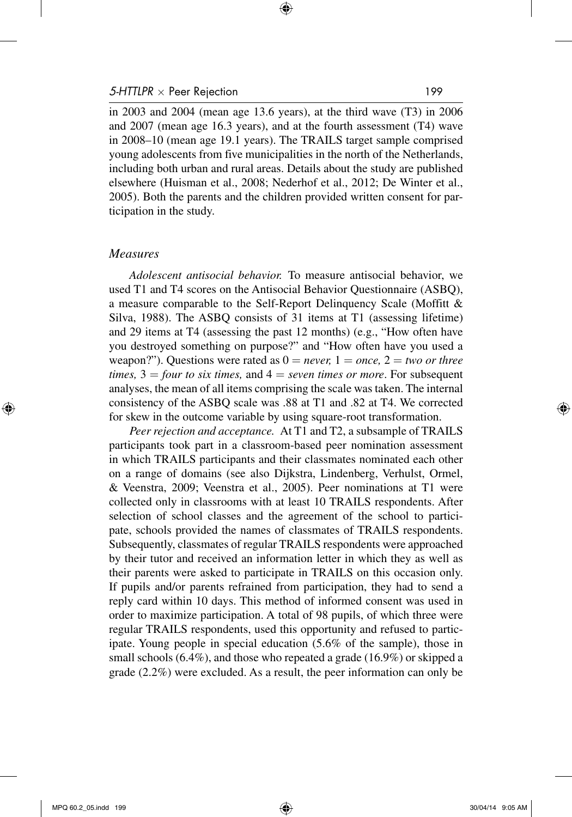in 2003 and 2004 (mean age 13.6 years), at the third wave (T3) in 2006 and 2007 (mean age 16.3 years), and at the fourth assessment (T4) wave in 2008–10 (mean age 19.1 years). The TRAILS target sample comprised young adolescents from five municipalities in the north of the Netherlands, including both urban and rural areas. Details about the study are published elsewhere (Huisman et al., 2008; Nederhof et al., 2012; De Winter et al., 2005). Both the parents and the children provided written consent for participation in the study.

#### *Measures*

*Adolescent antisocial behavior.* To measure antisocial behavior, we used T1 and T4 scores on the Antisocial Behavior Questionnaire (ASBQ), a measure comparable to the Self-Report Delinquency Scale (Moffitt & Silva, 1988). The ASBQ consists of 31 items at T1 (assessing lifetime) and 29 items at T4 (assessing the past 12 months) (e.g., "How often have you destroyed something on purpose?" and "How often have you used a weapon?"). Questions were rated as  $0 = never$ ,  $1 = once$ ,  $2 = two$  or three  $times$ ,  $3 =$  *four to six times*, and  $4 =$  *seven times or more*. For subsequent analyses, the mean of all items comprising the scale was taken. The internal consistency of the ASBQ scale was .88 at T1 and .82 at T4. We corrected for skew in the outcome variable by using square-root transformation.

*Peer rejection and acceptance.* At T1 and T2, a subsample of TRAILS participants took part in a classroom-based peer nomination assessment in which TRAILS participants and their classmates nominated each other on a range of domains (see also Dijkstra, Lindenberg, Verhulst, Ormel, & Veenstra, 2009; Veenstra et al., 2005). Peer nominations at T1 were collected only in classrooms with at least 10 TRAILS respondents. After selection of school classes and the agreement of the school to participate, schools provided the names of classmates of TRAILS respondents. Subsequently, classmates of regular TRAILS respondents were approached by their tutor and received an information letter in which they as well as their parents were asked to participate in TRAILS on this occasion only. If pupils and/or parents refrained from participation, they had to send a reply card within 10 days. This method of informed consent was used in order to maximize participation. A total of 98 pupils, of which three were regular TRAILS respondents, used this opportunity and refused to participate. Young people in special education (5.6% of the sample), those in small schools (6.4%), and those who repeated a grade (16.9%) or skipped a grade (2.2%) were excluded. As a result, the peer information can only be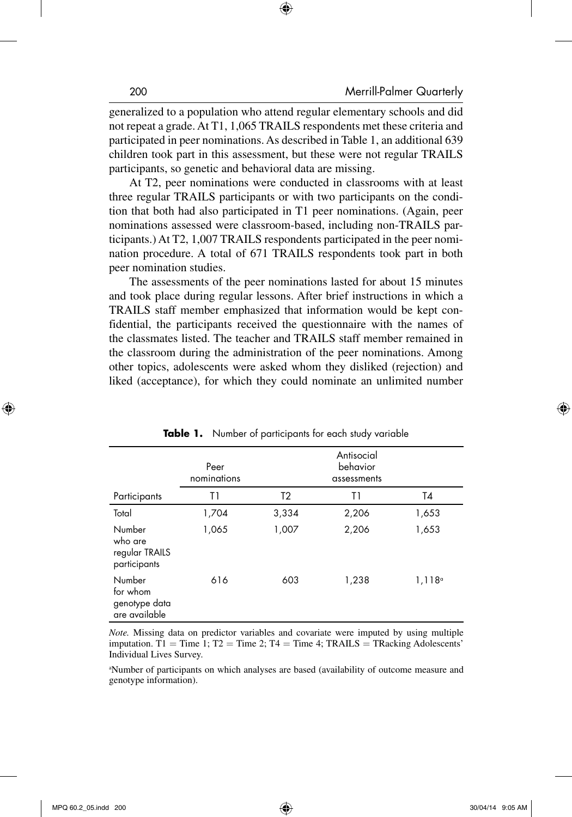generalized to a population who attend regular elementary schools and did not repeat a grade. At T1, 1,065 TRAILS respondents met these criteria and participated in peer nominations. As described in Table 1, an additional 639 children took part in this assessment, but these were not regular TRAILS participants, so genetic and behavioral data are missing.

At T2, peer nominations were conducted in classrooms with at least three regular TRAILS participants or with two participants on the condition that both had also participated in T1 peer nominations. (Again, peer nominations assessed were classroom-based, including non-TRAILS participants.) At T2, 1,007 TRAILS respondents participated in the peer nomination procedure. A total of 671 TRAILS respondents took part in both peer nomination studies.

The assessments of the peer nominations lasted for about 15 minutes and took place during regular lessons. After brief instructions in which a TRAILS staff member emphasized that information would be kept confidential, the participants received the questionnaire with the names of the classmates listed. The teacher and TRAILS staff member remained in the classroom during the administration of the peer nominations. Among other topics, adolescents were asked whom they disliked (rejection) and liked (acceptance), for which they could nominate an unlimited number

|                                                      | Peer<br>nominations |                |       |                 |
|------------------------------------------------------|---------------------|----------------|-------|-----------------|
| Participants                                         | T1                  | T <sub>2</sub> | T1    | T4              |
| Total                                                | 1,704               | 3,334          | 2,206 | 1,653           |
| Number<br>who are<br>regular TRAILS<br>participants  | 1,065               | 1,007          | 2,206 | 1,653           |
| Number<br>for whom<br>genotype data<br>are available | 616                 | 603            | 1,238 | $1,118^{\circ}$ |

**Table 1.** Number of participants for each study variable

*Note.* Missing data on predictor variables and covariate were imputed by using multiple imputation. T1 = Time 1; T2 = Time 2; T4 = Time 4; TRAILS = TRacking Adolescents' Individual Lives Survey.

a Number of participants on which analyses are based (availability of outcome measure and genotype information).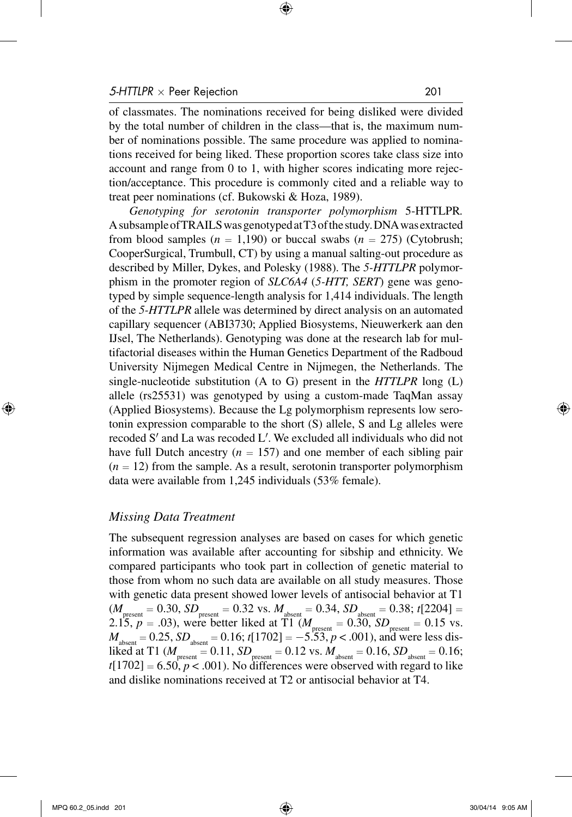of classmates. The nominations received for being disliked were divided by the total number of children in the class—that is, the maximum number of nominations possible. The same procedure was applied to nominations received for being liked. These proportion scores take class size into account and range from 0 to 1, with higher scores indicating more rejection/acceptance. This procedure is commonly cited and a reliable way to treat peer nominations (cf. Bukowski & Hoza, 1989).

*Genotyping for serotonin transporter polymorphism* 5-HTTLPR*.*  A subsample of TRAILS was genotyped at T3 of the study. DNA was extracted from blood samples  $(n = 1,190)$  or buccal swabs  $(n = 275)$  (Cytobrush; CooperSurgical, Trumbull, CT) by using a manual salting-out procedure as described by Miller, Dykes, and Polesky (1988). The *5-HTTLPR* polymorphism in the promoter region of *SLC6A4* (*5-HTT, SERT*) gene was genotyped by simple sequence-length analysis for 1,414 individuals. The length of the *5-HTTLPR* allele was determined by direct analysis on an automated capillary sequencer (ABI3730; Applied Biosystems, Nieuwerkerk aan den IJsel, The Netherlands). Genotyping was done at the research lab for multifactorial diseases within the Human Genetics Department of the Radboud University Nijmegen Medical Centre in Nijmegen, the Netherlands. The single-nucleotide substitution (A to G) present in the *HTTLPR* long (L) allele (rs25531) was genotyped by using a custom-made TaqMan assay (Applied Biosystems). Because the Lg polymorphism represents low serotonin expression comparable to the short (S) allele, S and Lg alleles were recoded S′ and La was recoded L′. We excluded all individuals who did not have full Dutch ancestry  $(n = 157)$  and one member of each sibling pair  $(n = 12)$  from the sample. As a result, serotonin transporter polymorphism data were available from 1,245 individuals (53% female).

#### *Missing Data Treatment*

The subsequent regression analyses are based on cases for which genetic information was available after accounting for sibship and ethnicity. We compared participants who took part in collection of genetic material to those from whom no such data are available on all study measures. Those with genetic data present showed lower levels of antisocial behavior at T1  $(M_{\text{present}} = 0.30, SD_{\text{present}} = 0.32 \text{ vs. } M_{\text{absent}} = 0.34, SD_{\text{absent}} = 0.38; t[2204] =$ 2.15,  $p = .03$ ), were better liked at T1 ( $M_{\text{present}} = 0.30$ ,  $SD_{\text{present}} = 0.15$  vs.  $M_{\text{absent}} = 0.25$ ,  $SD_{\text{absent}} = 0.16$ ;  $t[1702] = -5.53$ ,  $p < .001$ ), and were less disliked at T1 ( $M_{\text{present}} = 0.11$ ,  $SD_{\text{present}} = 0.12$  vs.  $M_{\text{absent}} = 0.16$ ,  $SD_{\text{absent}} = 0.16$ ;  $t[1702] = 6.50, p < .001$ ). No differences were observed with regard to like and dislike nominations received at T2 or antisocial behavior at T4.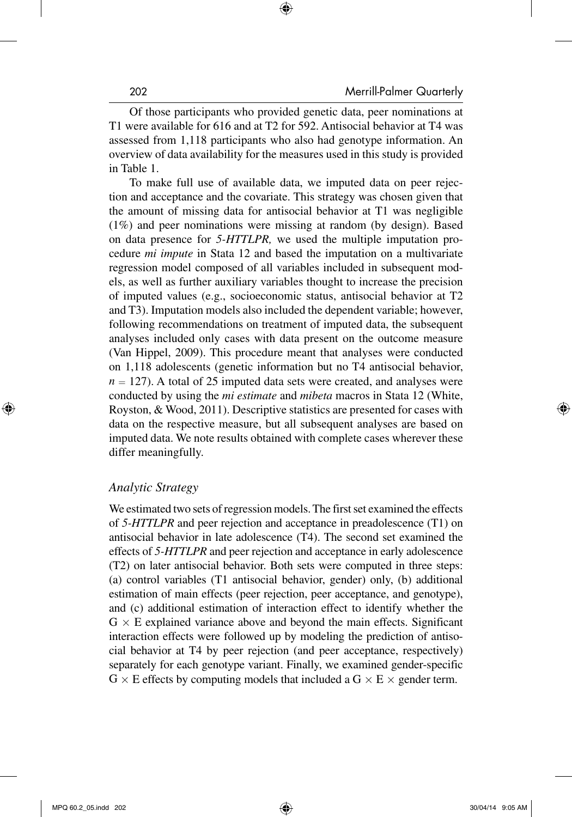Of those participants who provided genetic data, peer nominations at T1 were available for 616 and at T2 for 592. Antisocial behavior at T4 was assessed from 1,118 participants who also had genotype information. An overview of data availability for the measures used in this study is provided in Table 1.

To make full use of available data, we imputed data on peer rejection and acceptance and the covariate. This strategy was chosen given that the amount of missing data for antisocial behavior at T1 was negligible (1%) and peer nominations were missing at random (by design). Based on data presence for *5-HTTLPR,* we used the multiple imputation procedure *mi impute* in Stata 12 and based the imputation on a multivariate regression model composed of all variables included in subsequent models, as well as further auxiliary variables thought to increase the precision of imputed values (e.g., socioeconomic status, antisocial behavior at T2 and T3). Imputation models also included the dependent variable; however, following recommendations on treatment of imputed data, the subsequent analyses included only cases with data present on the outcome measure (Van Hippel, 2009). This procedure meant that analyses were conducted on 1,118 adolescents (genetic information but no T4 antisocial behavior,  $n = 127$ ). A total of 25 imputed data sets were created, and analyses were conducted by using the *mi estimate* and *mibeta* macros in Stata 12 (White, Royston, & Wood, 2011). Descriptive statistics are presented for cases with data on the respective measure, but all subsequent analyses are based on imputed data. We note results obtained with complete cases wherever these differ meaningfully.

#### *Analytic Strategy*

We estimated two sets of regression models. The first set examined the effects of *5-HTTLPR* and peer rejection and acceptance in preadolescence (T1) on antisocial behavior in late adolescence (T4). The second set examined the effects of *5-HTTLPR* and peer rejection and acceptance in early adolescence (T2) on later antisocial behavior. Both sets were computed in three steps: (a) control variables (T1 antisocial behavior, gender) only, (b) additional estimation of main effects (peer rejection, peer acceptance, and genotype), and (c) additional estimation of interaction effect to identify whether the  $G \times E$  explained variance above and beyond the main effects. Significant interaction effects were followed up by modeling the prediction of antisocial behavior at T4 by peer rejection (and peer acceptance, respectively) separately for each genotype variant. Finally, we examined gender-specific  $G \times E$  effects by computing models that included a  $G \times E \times$  gender term.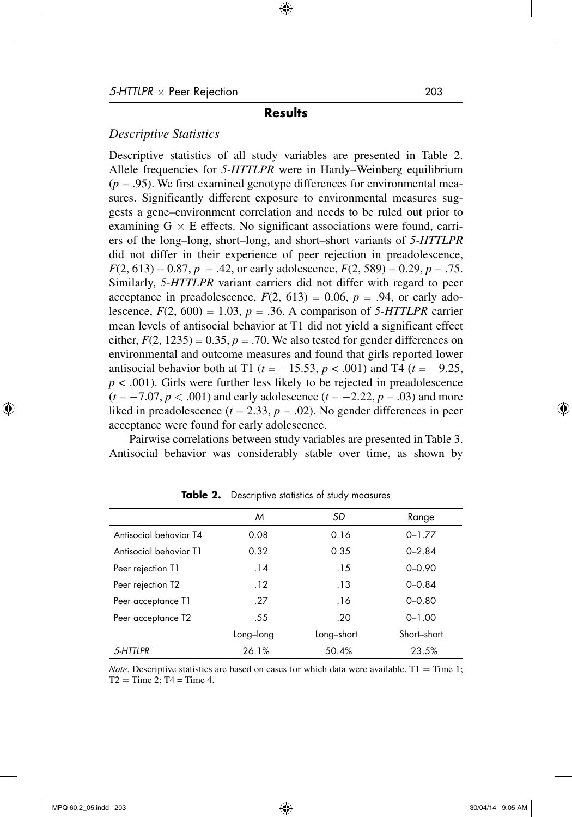#### **Results**

#### *Descriptive Statistics*

Descriptive statistics of all study variables are presented in Table 2. Allele frequencies for *5-HTTLPR* were in Hardy–Weinberg equilibrium  $(p = .95)$ . We first examined genotype differences for environmental measures. Significantly different exposure to environmental measures suggests a gene–environment correlation and needs to be ruled out prior to examining  $G \times E$  effects. No significant associations were found, carriers of the long–long, short–long, and short–short variants of *5-HTTLPR* did not differ in their experience of peer rejection in preadolescence,  $F(2, 613) = 0.87, p = .42$ , or early adolescence,  $F(2, 589) = 0.29, p = .75$ . Similarly, *5-HTTLPR* variant carriers did not differ with regard to peer acceptance in preadolescence,  $F(2, 613) = 0.06$ ,  $p = .94$ , or early adolescence,  $F(2, 600) = 1.03$ ,  $p = .36$ . A comparison of 5-HTTLPR carrier mean levels of antisocial behavior at T1 did not yield a significant effect either,  $F(2, 1235) = 0.35$ ,  $p = .70$ . We also tested for gender differences on environmental and outcome measures and found that girls reported lower antisocial behavior both at T1 ( $t = -15.53$ ,  $p < .001$ ) and T4 ( $t = -9.25$ ,  $p < .001$ ). Girls were further less likely to be rejected in preadolescence  $(t = -7.07, p < .001)$  and early adolescence  $(t = -2.22, p = .03)$  and more liked in preadolescence  $(t = 2.33, p = .02)$ . No gender differences in peer acceptance were found for early adolescence.

Pairwise correlations between study variables are presented in Table 3. Antisocial behavior was considerably stable over time, as shown by

|                        | м         | SD         | Range       |
|------------------------|-----------|------------|-------------|
| Antisocial behavior T4 | 0.08      | 0.16       | $0 - 1.77$  |
| Antisocial behavior T1 | 0.32      | 0.35       | $0 - 2.84$  |
| Peer rejection T1      | .14       | .15        | $0 - 0.90$  |
| Peer rejection T2      | .12       | .13        | $0 - 0.84$  |
| Peer acceptance T1     | .27       | .16        | $0 - 0.80$  |
| Peer acceptance T2     | .55       | .20        | $0 - 1.00$  |
|                        | Long-long | Long-short | Short-short |
| 5-HTTLPR               | 26.1%     | 50.4%      | 23.5%       |

**Table 2.** Descriptive statistics of study measures

*Note*. Descriptive statistics are based on cases for which data were available.  $T1 =$ Time 1;  $T2 =$ Time 2; T4 = Time 4.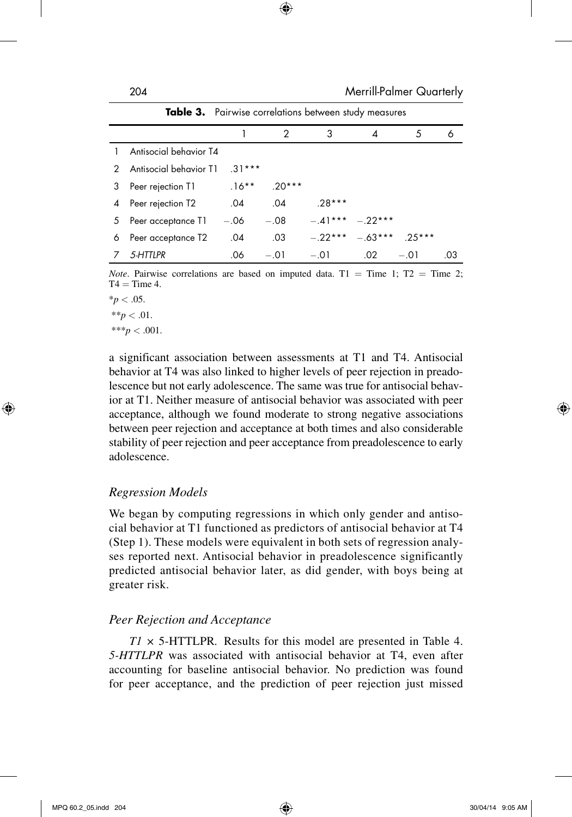|   |                        |          | 2        | 3        |                              | 5      | 6   |
|---|------------------------|----------|----------|----------|------------------------------|--------|-----|
|   | Antisocial behavior T4 |          |          |          |                              |        |     |
| 2 | Antisocial behavior T1 | $31***$  |          |          |                              |        |     |
| 3 | Peer rejection T1      | $.16***$ | $.20***$ |          |                              |        |     |
| 4 | Peer rejection T2      | .04      | .04      | $.28***$ |                              |        |     |
| 5 | Peer acceptance T1     | $-.06$   | $-.08$   |          | $-41***$ $-22***$            |        |     |
| 6 | Peer acceptance T2     | .04      | .03      |          | $-.22***$ $-.63***$ $.25***$ |        |     |
|   | 5-HTTLPR               | .06      | $-.01$   | $-.01$   | .02                          | $-.01$ | .03 |

**Table 3.** Pairwise correlations between study measures

*Note*. Pairwise correlations are based on imputed data.  $T1 = Time 1$ ;  $T2 = Time 2$ ;  $T4 = Time 4.$ 

 $*_{p}$  < .05.

 $**p < .01$ .

 $***p<.001$ .

a significant association between assessments at T1 and T4. Antisocial behavior at T4 was also linked to higher levels of peer rejection in preadolescence but not early adolescence. The same was true for antisocial behavior at T1. Neither measure of antisocial behavior was associated with peer acceptance, although we found moderate to strong negative associations between peer rejection and acceptance at both times and also considerable stability of peer rejection and peer acceptance from preadolescence to early adolescence.

#### *Regression Models*

We began by computing regressions in which only gender and antisocial behavior at T1 functioned as predictors of antisocial behavior at T4 (Step 1). These models were equivalent in both sets of regression analyses reported next. Antisocial behavior in preadolescence significantly predicted antisocial behavior later, as did gender, with boys being at greater risk.

#### *Peer Rejection and Acceptance*

*T1 ×* 5-HTTLPR*.* Results for this model are presented in Table 4. *5-HTTLPR* was associated with antisocial behavior at T4, even after accounting for baseline antisocial behavior. No prediction was found for peer acceptance, and the prediction of peer rejection just missed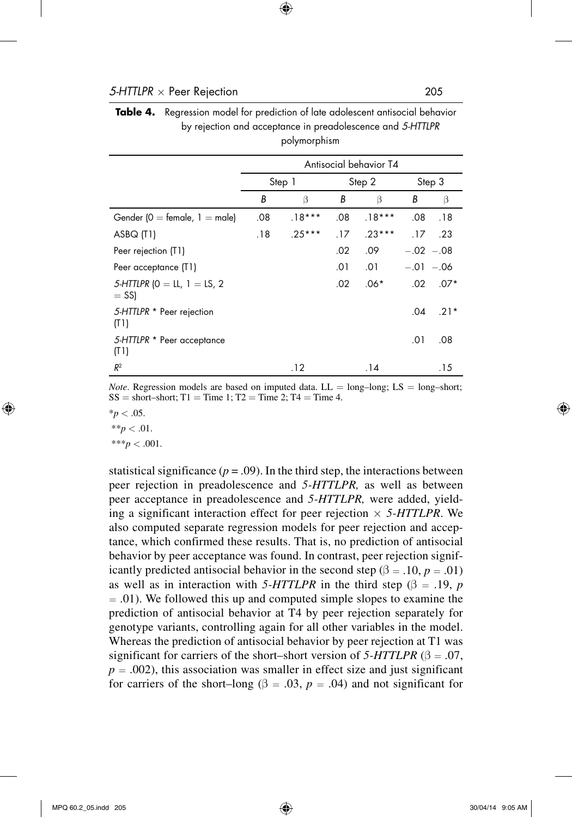|                                               | polymorphism           |          |        |          |            |        |
|-----------------------------------------------|------------------------|----------|--------|----------|------------|--------|
|                                               | Antisocial behavior T4 |          |        |          |            |        |
|                                               | Step 1                 |          | Step 2 |          | Step 3     |        |
|                                               | В                      | β        | В      | β        | В          | β      |
| Gender ( $0 =$ female, $1 =$ male)            | .08                    | $.18***$ | .08    | $.18***$ | .08        | .18    |
| ASBQ (T1)                                     | .18                    | $.25***$ | .17    | $.23***$ | .17        | .23    |
| Peer rejection (T1)                           |                        |          | .02    | .09      | $-.02-.08$ |        |
| Peer acceptance (T1)                          |                        |          | .01    | .01      | $-.01-.06$ |        |
| 5-HTTLPR ( $0 = LL$ , $1 = LS$ , 2<br>$=$ SS) |                        |          | .02    | $.06*$   | $.02\,$    | $.07*$ |
| 5-HTTLPR * Peer rejection<br>(T1)             |                        |          |        |          | .04        | $.21*$ |
| 5-HTTLPR * Peer acceptance<br>(T1)            |                        |          |        |          | .01        | .08    |
| R <sup>2</sup>                                |                        | .12      |        | . 14     |            | . 15   |

| <b>Table 4.</b> Regression model for prediction of late adolescent antisocial behavior |
|----------------------------------------------------------------------------------------|
| by rejection and acceptance in preadolescence and 5-HTTLPR                             |
| polymorphism                                                                           |

*Note*. Regression models are based on imputed data.  $LL = long-long$ ;  $LS = long-short$ ;  $SS = short-short; T1 = Time 1; T2 = Time 2; T4 = Time 4.$ 

 $*_{p}$  < .05.

 $**p < .01$ . \*\*\**p* < .001.

statistical significance  $(p = .09)$ . In the third step, the interactions between peer rejection in preadolescence and *5-HTTLPR,* as well as between peer acceptance in preadolescence and *5-HTTLPR,* were added, yielding a significant interaction effect for peer rejection  $\times$  5-HTTLPR. We also computed separate regression models for peer rejection and acceptance, which confirmed these results. That is, no prediction of antisocial behavior by peer acceptance was found. In contrast, peer rejection significantly predicted antisocial behavior in the second step ( $\beta = .10, p = .01$ ) as well as in interaction with 5-HTTLPR in the third step ( $\beta = .19$ , *p* = .01). We followed this up and computed simple slopes to examine the prediction of antisocial behavior at T4 by peer rejection separately for genotype variants, controlling again for all other variables in the model. Whereas the prediction of antisocial behavior by peer rejection at T1 was significant for carriers of the short–short version of  $5-HTTLPR$  ( $\beta = .07$ ,  $p = .002$ ), this association was smaller in effect size and just significant for carriers of the short–long ( $\beta = .03$ ,  $p = .04$ ) and not significant for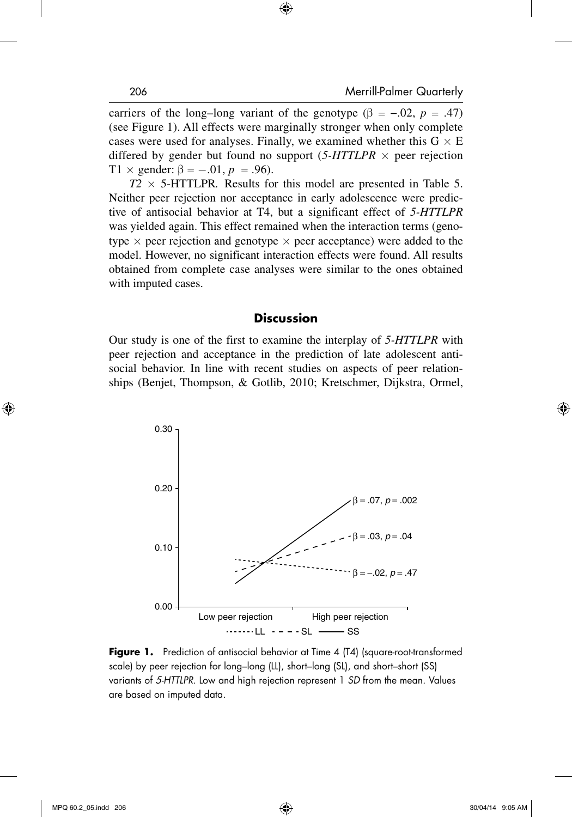carriers of the long–long variant of the genotype  $(\beta = -.02, p = .47)$ (see Figure 1). All effects were marginally stronger when only complete cases were used for analyses. Finally, we examined whether this  $G \times E$ differed by gender but found no support  $(5-HTTLPR \times$  peer rejection T1  $\times$  gender:  $\beta = -.01, p = .96$ ).

 $T2 \times 5$ -HTTLPR. Results for this model are presented in Table 5. Neither peer rejection nor acceptance in early adolescence were predictive of antisocial behavior at T4, but a significant effect of *5-HTTLPR* was yielded again. This effect remained when the interaction terms (genotype  $\times$  peer rejection and genotype  $\times$  peer acceptance) were added to the model. However, no significant interaction effects were found. All results obtained from complete case analyses were similar to the ones obtained with imputed cases.

#### **Discussion**

Our study is one of the first to examine the interplay of *5-HTTLPR* with peer rejection and acceptance in the prediction of late adolescent antisocial behavior. In line with recent studies on aspects of peer relationships (Benjet, Thompson, & Gotlib, 2010; Kretschmer, Dijkstra, Ormel,



**Figure 1.** Prediction of antisocial behavior at Time 4 (T4) (square-root-transformed scale) by peer rejection for long–long (LL), short–long (SL), and short–short (SS) variants of *5-HTTLPR*. Low and high rejection represent 1 *SD* from the mean. Values are based on imputed data.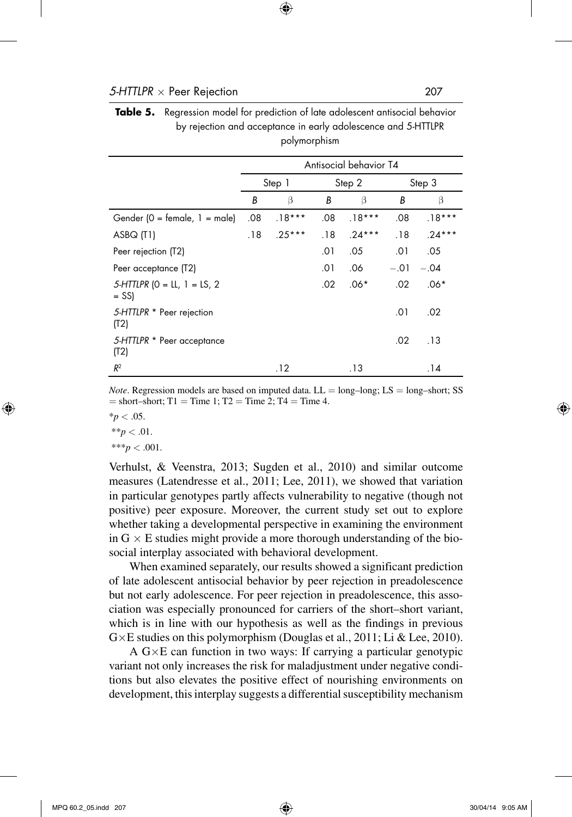|                                           | Antisocial behavior T4 |          |        |          |        |          |
|-------------------------------------------|------------------------|----------|--------|----------|--------|----------|
|                                           | Step 1                 |          | Step 2 |          |        | Step 3   |
|                                           | В                      | β        | В      | β        | В      | β        |
| Gender ( $0 =$ female, $1 =$ male)        | .08                    | $.18***$ | .08    | $.18***$ | .08    | $.18***$ |
| ASBQ (T1)                                 | .18                    | $.25***$ | .18    | $.24***$ | .18    | $.24***$ |
| Peer rejection (T2)                       |                        |          | .01    | .05      | .01    | .05      |
| Peer acceptance (T2)                      |                        |          | .01    | .06      | $-.01$ | $-.04$   |
| $5$ -HTTLPR (O = LL, 1 = LS, 2<br>$=$ SS) |                        |          | .02    | $.06*$   | .02    | $.06*$   |
| 5-HTTLPR * Peer rejection<br>(T2)         |                        |          |        |          | .01    | .02      |
| 5-HTTLPR * Peer acceptance<br>(T2)        |                        |          |        |          | .02    | .13      |
| $R^2$                                     |                        | .12      |        | . 13     |        | .14      |

**Table 5.** Regression model for prediction of late adolescent antisocial behavior by rejection and acceptance in early adolescence and 5-HTTLPR polymorphism

*Note*. Regression models are based on imputed data.  $LL = long-long$ ;  $LS = long-short$ ; SS  $=$  short–short; T1 = Time 1; T2 = Time 2; T4 = Time 4.

 $*_{p}$  < .05.  $**p < .01$ .  $***p < .001$ .

Verhulst, & Veenstra, 2013; Sugden et al., 2010) and similar outcome measures (Latendresse et al., 2011; Lee, 2011), we showed that variation in particular genotypes partly affects vulnerability to negative (though not positive) peer exposure. Moreover, the current study set out to explore whether taking a developmental perspective in examining the environment in  $G \times E$  studies might provide a more thorough understanding of the biosocial interplay associated with behavioral development.

When examined separately, our results showed a significant prediction of late adolescent antisocial behavior by peer rejection in preadolescence but not early adolescence. For peer rejection in preadolescence, this association was especially pronounced for carriers of the short–short variant, which is in line with our hypothesis as well as the findings in previous G×E studies on this polymorphism (Douglas et al., 2011; Li & Lee, 2010).

A G×E can function in two ways: If carrying a particular genotypic variant not only increases the risk for maladjustment under negative conditions but also elevates the positive effect of nourishing environments on development, this interplay suggests a differential susceptibility mechanism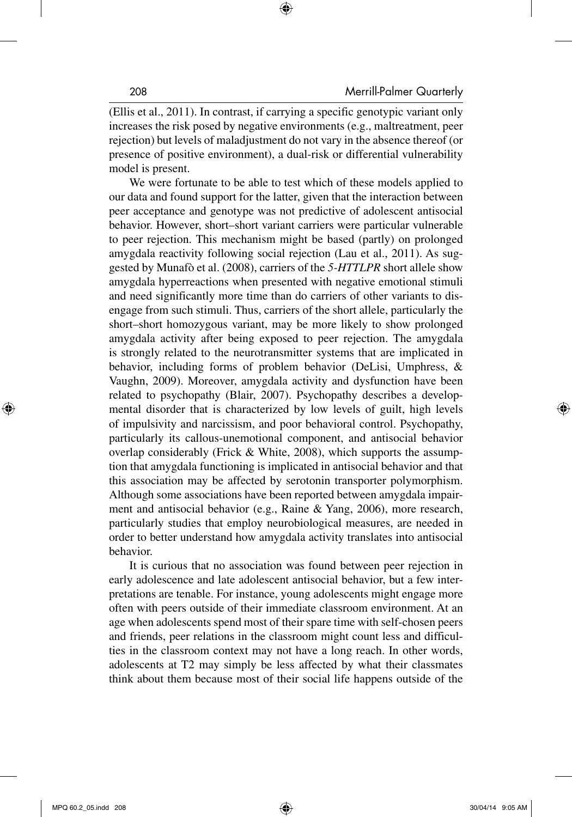(Ellis et al., 2011). In contrast, if carrying a specific genotypic variant only increases the risk posed by negative environments (e.g., maltreatment, peer rejection) but levels of maladjustment do not vary in the absence thereof (or presence of positive environment), a dual-risk or differential vulnerability model is present.

We were fortunate to be able to test which of these models applied to our data and found support for the latter, given that the interaction between peer acceptance and genotype was not predictive of adolescent antisocial behavior. However, short–short variant carriers were particular vulnerable to peer rejection. This mechanism might be based (partly) on prolonged amygdala reactivity following social rejection (Lau et al., 2011). As suggested by Munafò et al. (2008), carriers of the *5-HTTLPR* short allele show amygdala hyperreactions when presented with negative emotional stimuli and need significantly more time than do carriers of other variants to disengage from such stimuli. Thus, carriers of the short allele, particularly the short–short homozygous variant, may be more likely to show prolonged amygdala activity after being exposed to peer rejection. The amygdala is strongly related to the neurotransmitter systems that are implicated in behavior, including forms of problem behavior (DeLisi, Umphress, & Vaughn, 2009). Moreover, amygdala activity and dysfunction have been related to psychopathy (Blair, 2007). Psychopathy describes a developmental disorder that is characterized by low levels of guilt, high levels of impulsivity and narcissism, and poor behavioral control. Psychopathy, particularly its callous-unemotional component, and antisocial behavior overlap considerably (Frick & White, 2008), which supports the assumption that amygdala functioning is implicated in antisocial behavior and that this association may be affected by serotonin transporter polymorphism. Although some associations have been reported between amygdala impairment and antisocial behavior (e.g., Raine & Yang, 2006), more research, particularly studies that employ neurobiological measures, are needed in order to better understand how amygdala activity translates into antisocial behavior.

It is curious that no association was found between peer rejection in early adolescence and late adolescent antisocial behavior, but a few interpretations are tenable. For instance, young adolescents might engage more often with peers outside of their immediate classroom environment. At an age when adolescents spend most of their spare time with self-chosen peers and friends, peer relations in the classroom might count less and difficulties in the classroom context may not have a long reach. In other words, adolescents at T2 may simply be less affected by what their classmates think about them because most of their social life happens outside of the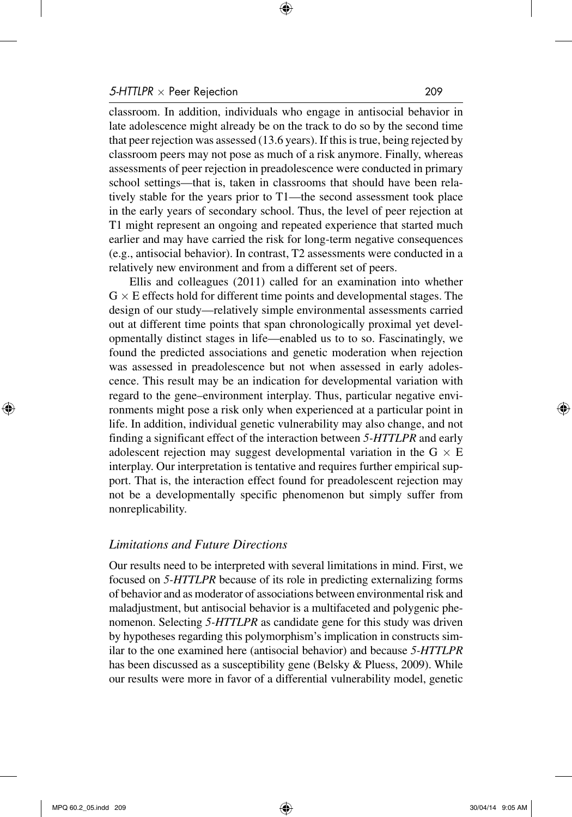classroom. In addition, individuals who engage in antisocial behavior in late adolescence might already be on the track to do so by the second time that peer rejection was assessed (13.6 years). If this is true, being rejected by classroom peers may not pose as much of a risk anymore. Finally, whereas assessments of peer rejection in preadolescence were conducted in primary school settings—that is, taken in classrooms that should have been relatively stable for the years prior to T1—the second assessment took place in the early years of secondary school. Thus, the level of peer rejection at T1 might represent an ongoing and repeated experience that started much earlier and may have carried the risk for long-term negative consequences (e.g., antisocial behavior). In contrast, T2 assessments were conducted in a relatively new environment and from a different set of peers.

Ellis and colleagues (2011) called for an examination into whether  $G \times E$  effects hold for different time points and developmental stages. The design of our study—relatively simple environmental assessments carried out at different time points that span chronologically proximal yet developmentally distinct stages in life—enabled us to to so. Fascinatingly, we found the predicted associations and genetic moderation when rejection was assessed in preadolescence but not when assessed in early adolescence. This result may be an indication for developmental variation with regard to the gene–environment interplay. Thus, particular negative environments might pose a risk only when experienced at a particular point in life. In addition, individual genetic vulnerability may also change, and not finding a significant effect of the interaction between *5-HTTLPR* and early adolescent rejection may suggest developmental variation in the  $G \times E$ interplay. Our interpretation is tentative and requires further empirical support. That is, the interaction effect found for preadolescent rejection may not be a developmentally specific phenomenon but simply suffer from nonreplicability.

#### *Limitations and Future Directions*

Our results need to be interpreted with several limitations in mind. First, we focused on *5-HTTLPR* because of its role in predicting externalizing forms of behavior and as moderator of associations between environmental risk and maladjustment, but antisocial behavior is a multifaceted and polygenic phenomenon. Selecting *5-HTTLPR* as candidate gene for this study was driven by hypotheses regarding this polymorphism's implication in constructs similar to the one examined here (antisocial behavior) and because *5-HTTLPR* has been discussed as a susceptibility gene (Belsky & Pluess, 2009). While our results were more in favor of a differential vulnerability model, genetic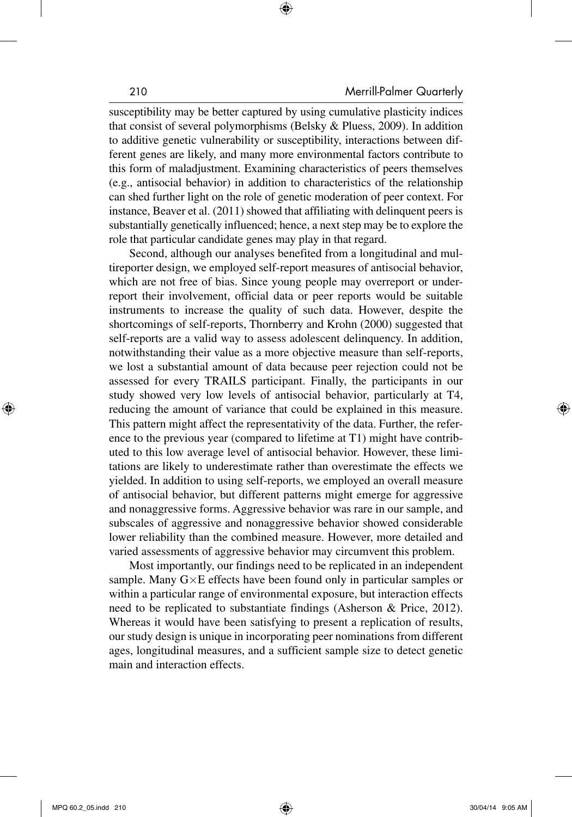susceptibility may be better captured by using cumulative plasticity indices that consist of several polymorphisms (Belsky & Pluess, 2009). In addition to additive genetic vulnerability or susceptibility, interactions between different genes are likely, and many more environmental factors contribute to this form of maladjustment. Examining characteristics of peers themselves (e.g., antisocial behavior) in addition to characteristics of the relationship can shed further light on the role of genetic moderation of peer context. For instance, Beaver et al. (2011) showed that affiliating with delinquent peers is substantially genetically influenced; hence, a next step may be to explore the role that particular candidate genes may play in that regard.

Second, although our analyses benefited from a longitudinal and multireporter design, we employed self-report measures of antisocial behavior, which are not free of bias. Since young people may overreport or underreport their involvement, official data or peer reports would be suitable instruments to increase the quality of such data. However, despite the shortcomings of self-reports, Thornberry and Krohn (2000) suggested that self-reports are a valid way to assess adolescent delinquency. In addition, notwithstanding their value as a more objective measure than self-reports, we lost a substantial amount of data because peer rejection could not be assessed for every TRAILS participant. Finally, the participants in our study showed very low levels of antisocial behavior, particularly at T4, reducing the amount of variance that could be explained in this measure. This pattern might affect the representativity of the data. Further, the reference to the previous year (compared to lifetime at T1) might have contributed to this low average level of antisocial behavior. However, these limitations are likely to underestimate rather than overestimate the effects we yielded. In addition to using self-reports, we employed an overall measure of antisocial behavior, but different patterns might emerge for aggressive and nonaggressive forms. Aggressive behavior was rare in our sample, and subscales of aggressive and nonaggressive behavior showed considerable lower reliability than the combined measure. However, more detailed and varied assessments of aggressive behavior may circumvent this problem.

Most importantly, our findings need to be replicated in an independent sample. Many  $G \times E$  effects have been found only in particular samples or within a particular range of environmental exposure, but interaction effects need to be replicated to substantiate findings (Asherson & Price, 2012). Whereas it would have been satisfying to present a replication of results, our study design is unique in incorporating peer nominations from different ages, longitudinal measures, and a sufficient sample size to detect genetic main and interaction effects.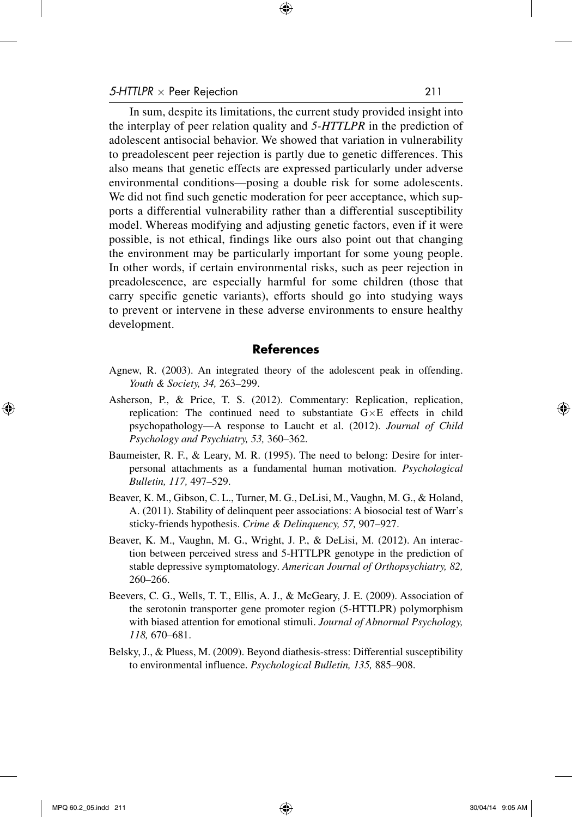In sum, despite its limitations, the current study provided insight into the interplay of peer relation quality and *5-HTTLPR* in the prediction of adolescent antisocial behavior. We showed that variation in vulnerability to preadolescent peer rejection is partly due to genetic differences. This also means that genetic effects are expressed particularly under adverse environmental conditions—posing a double risk for some adolescents. We did not find such genetic moderation for peer acceptance, which supports a differential vulnerability rather than a differential susceptibility model. Whereas modifying and adjusting genetic factors, even if it were possible, is not ethical, findings like ours also point out that changing the environment may be particularly important for some young people. In other words, if certain environmental risks, such as peer rejection in preadolescence, are especially harmful for some children (those that carry specific genetic variants), efforts should go into studying ways to prevent or intervene in these adverse environments to ensure healthy development.

#### **References**

- Agnew, R. (2003). An integrated theory of the adolescent peak in offending. *Youth & Society, 34,* 263–299.
- Asherson, P., & Price, T. S. (2012). Commentary: Replication, replication, replication: The continued need to substantiate G×E effects in child psychopathology—A response to Laucht et al. (2012). *Journal of Child Psychology and Psychiatry, 53,* 360–362.
- Baumeister, R. F., & Leary, M. R. (1995). The need to belong: Desire for interpersonal attachments as a fundamental human motivation. *Psychological Bulletin, 117,* 497–529.
- Beaver, K. M., Gibson, C. L., Turner, M. G., DeLisi, M., Vaughn, M. G., & Holand, A. (2011). Stability of delinquent peer associations: A biosocial test of Warr's sticky-friends hypothesis. *Crime & Delinquency, 57,* 907–927.
- Beaver, K. M., Vaughn, M. G., Wright, J. P., & DeLisi, M. (2012). An interaction between perceived stress and 5-HTTLPR genotype in the prediction of stable depressive symptomatology. *American Journal of Orthopsychiatry, 82,* 260–266.
- Beevers, C. G., Wells, T. T., Ellis, A. J., & McGeary, J. E. (2009). Association of the serotonin transporter gene promoter region (5-HTTLPR) polymorphism with biased attention for emotional stimuli. *Journal of Abnormal Psychology, 118,* 670–681.
- Belsky, J., & Pluess, M. (2009). Beyond diathesis-stress: Differential susceptibility to environmental influence. *Psychological Bulletin, 135,* 885–908.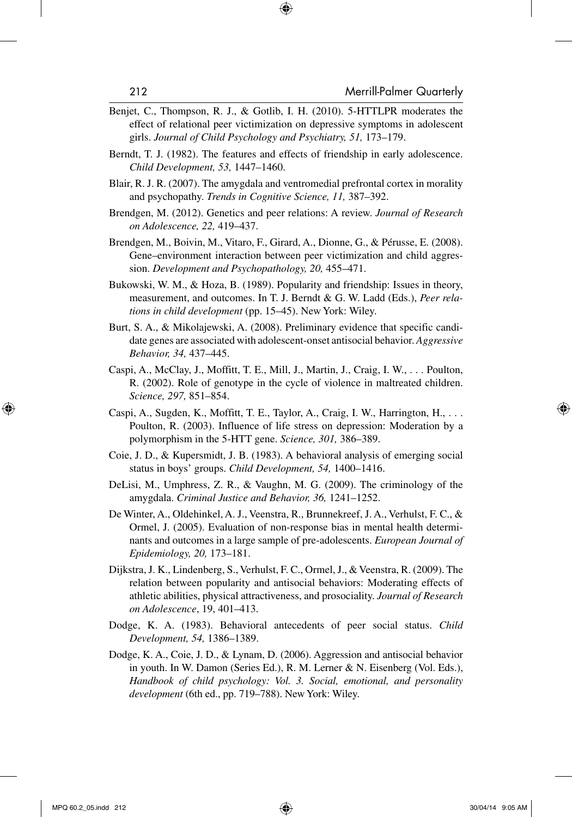- Benjet, C., Thompson, R. J., & Gotlib, I. H. (2010). 5-HTTLPR moderates the effect of relational peer victimization on depressive symptoms in adolescent girls. *Journal of Child Psychology and Psychiatry, 51,* 173–179.
- Berndt, T. J. (1982). The features and effects of friendship in early adolescence. *Child Development, 53,* 1447–1460.
- Blair, R. J. R. (2007). The amygdala and ventromedial prefrontal cortex in morality and psychopathy. *Trends in Cognitive Science, 11,* 387–392.
- Brendgen, M. (2012). Genetics and peer relations: A review. *Journal of Research on Adolescence, 22,* 419–437.
- Brendgen, M., Boivin, M., Vitaro, F., Girard, A., Dionne, G., & Pérusse, E. (2008). Gene–environment interaction between peer victimization and child aggression. *Development and Psychopathology, 20,* 455–471.
- Bukowski, W. M., & Hoza, B. (1989). Popularity and friendship: Issues in theory, measurement, and outcomes. In T. J. Berndt & G. W. Ladd (Eds.), *Peer relations in child development* (pp. 15–45). New York: Wiley.
- Burt, S. A., & Mikolajewski, A. (2008). Preliminary evidence that specific candidate genes are associated with adolescent-onset antisocial behavior. *Aggressive Behavior, 34,* 437–445.
- Caspi, A., McClay, J., Moffitt, T. E., Mill, J., Martin, J., Craig, I. W., . . . Poulton, R. (2002). Role of genotype in the cycle of violence in maltreated children. *Science, 297,* 851–854.
- Caspi, A., Sugden, K., Moffitt, T. E., Taylor, A., Craig, I. W., Harrington, H., . . . Poulton, R. (2003). Influence of life stress on depression: Moderation by a polymorphism in the 5-HTT gene. *Science, 301,* 386–389.
- Coie, J. D., & Kupersmidt, J. B. (1983). A behavioral analysis of emerging social status in boys' groups. *Child Development, 54,* 1400–1416.
- DeLisi, M., Umphress, Z. R., & Vaughn, M. G. (2009). The criminology of the amygdala. *Criminal Justice and Behavior, 36,* 1241–1252.
- De Winter, A., Oldehinkel, A. J., Veenstra, R., Brunnekreef, J. A., Verhulst, F. C., & Ormel, J. (2005). Evaluation of non-response bias in mental health determinants and outcomes in a large sample of pre-adolescents. *European Journal of Epidemiology, 20,* 173–181.
- Dijkstra, J. K., Lindenberg, S., Verhulst, F. C., Ormel, J., & Veenstra, R. (2009). The relation between popularity and antisocial behaviors: Moderating effects of athletic abilities, physical attractiveness, and prosociality. *Journal of Research on Adolescence*, 19, 401–413.
- Dodge, K. A. (1983). Behavioral antecedents of peer social status. *Child Development, 54,* 1386–1389.
- Dodge, K. A., Coie, J. D., & Lynam, D. (2006). Aggression and antisocial behavior in youth. In W. Damon (Series Ed.), R. M. Lerner & N. Eisenberg (Vol. Eds.), *Handbook of child psychology: Vol. 3. Social, emotional, and personality development* (6th ed., pp. 719–788). New York: Wiley.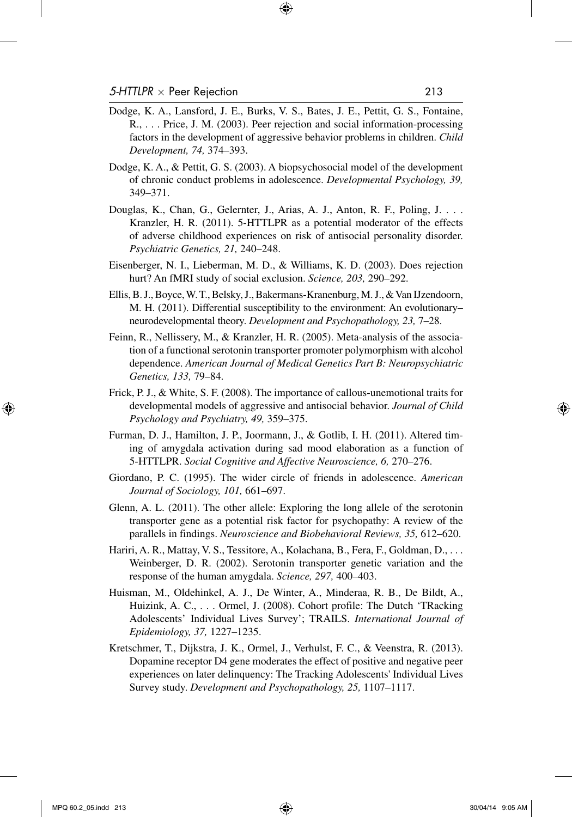- Dodge, K. A., Lansford, J. E., Burks, V. S., Bates, J. E., Pettit, G. S., Fontaine, R., . . . Price, J. M. (2003). Peer rejection and social information-processing factors in the development of aggressive behavior problems in children. *Child Development, 74,* 374–393.
- Dodge, K. A., & Pettit, G. S. (2003). A biopsychosocial model of the development of chronic conduct problems in adolescence. *Developmental Psychology, 39,* 349–371.
- Douglas, K., Chan, G., Gelernter, J., Arias, A. J., Anton, R. F., Poling, J. . . . Kranzler, H. R. (2011). 5-HTTLPR as a potential moderator of the effects of adverse childhood experiences on risk of antisocial personality disorder. *Psychiatric Genetics, 21,* 240–248.
- Eisenberger, N. I., Lieberman, M. D., & Williams, K. D. (2003). Does rejection hurt? An fMRI study of social exclusion. *Science, 203,* 290–292.
- Ellis, B. J., Boyce, W. T., Belsky, J., Bakermans-Kranenburg, M. J., & Van IJzendoorn, M. H. (2011). Differential susceptibility to the environment: An evolutionary– neurodevelopmental theory. *Development and Psychopathology, 23,* 7–28.
- Feinn, R., Nellissery, M., & Kranzler, H. R. (2005). Meta-analysis of the association of a functional serotonin transporter promoter polymorphism with alcohol dependence. *American Journal of Medical Genetics Part B: Neuropsychiatric Genetics, 133,* 79–84.
- Frick, P. J., & White, S. F. (2008). The importance of callous-unemotional traits for developmental models of aggressive and antisocial behavior. *Journal of Child Psychology and Psychiatry, 49,* 359–375.
- Furman, D. J., Hamilton, J. P., Joormann, J., & Gotlib, I. H. (2011). Altered timing of amygdala activation during sad mood elaboration as a function of 5-HTTLPR. *Social Cognitive and Affective Neuroscience, 6,* 270–276.
- Giordano, P. C. (1995). The wider circle of friends in adolescence. *American Journal of Sociology, 101,* 661–697.
- Glenn, A. L. (2011). The other allele: Exploring the long allele of the serotonin transporter gene as a potential risk factor for psychopathy: A review of the parallels in findings. *Neuroscience and Biobehavioral Reviews, 35,* 612–620.
- Hariri, A. R., Mattay, V. S., Tessitore, A., Kolachana, B., Fera, F., Goldman, D., ... Weinberger, D. R. (2002). Serotonin transporter genetic variation and the response of the human amygdala. *Science, 297,* 400–403.
- Huisman, M., Oldehinkel, A. J., De Winter, A., Minderaa, R. B., De Bildt, A., Huizink, A. C., . . . Ormel, J. (2008). Cohort profile: The Dutch 'TRacking Adolescents' Individual Lives Survey'; TRAILS. *International Journal of Epidemiology, 37,* 1227–1235.
- Kretschmer, T., Dijkstra, J. K., Ormel, J., Verhulst, F. C., & Veenstra, R. (2013). Dopamine receptor D4 gene moderates the effect of positive and negative peer experiences on later delinquency: The Tracking Adolescents' Individual Lives Survey study. *Development and Psychopathology, 25,* 1107–1117.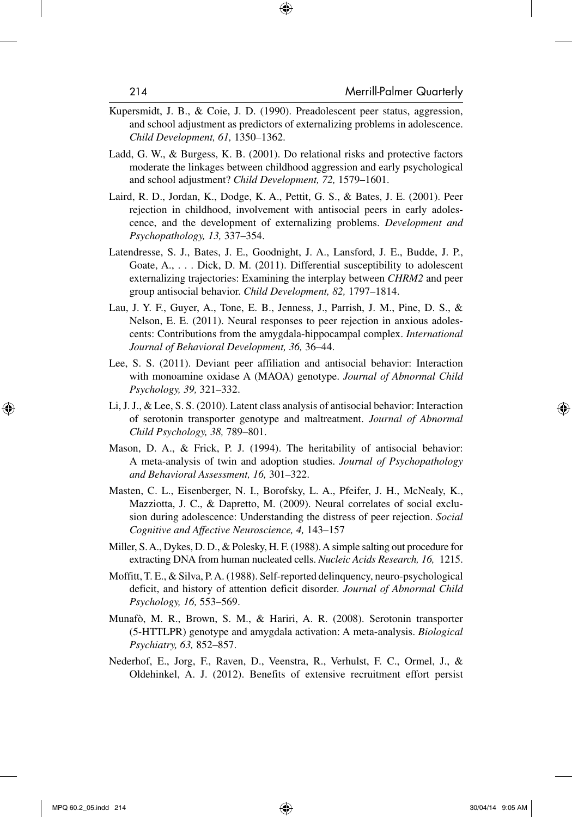- Kupersmidt, J. B., & Coie, J. D. (1990). Preadolescent peer status, aggression, and school adjustment as predictors of externalizing problems in adolescence. *Child Development, 61,* 1350–1362.
- Ladd, G. W., & Burgess, K. B. (2001). Do relational risks and protective factors moderate the linkages between childhood aggression and early psychological and school adjustment? *Child Development, 72,* 1579–1601.
- Laird, R. D., Jordan, K., Dodge, K. A., Pettit, G. S., & Bates, J. E. (2001). Peer rejection in childhood, involvement with antisocial peers in early adolescence, and the development of externalizing problems. *Development and Psychopathology, 13,* 337–354.
- Latendresse, S. J., Bates, J. E., Goodnight, J. A., Lansford, J. E., Budde, J. P., Goate, A., . . . Dick, D. M. (2011). Differential susceptibility to adolescent externalizing trajectories: Examining the interplay between *CHRM2* and peer group antisocial behavior. *Child Development, 82,* 1797–1814.
- Lau, J. Y. F., Guyer, A., Tone, E. B., Jenness, J., Parrish, J. M., Pine, D. S., & Nelson, E. E. (2011). Neural responses to peer rejection in anxious adolescents: Contributions from the amygdala-hippocampal complex. *International Journal of Behavioral Development, 36,* 36–44.
- Lee, S. S. (2011). Deviant peer affiliation and antisocial behavior: Interaction with monoamine oxidase A (MAOA) genotype. *Journal of Abnormal Child Psychology, 39,* 321–332.
- Li, J. J., & Lee, S. S. (2010). Latent class analysis of antisocial behavior: Interaction of serotonin transporter genotype and maltreatment. *Journal of Abnormal Child Psychology, 38,* 789–801.
- Mason, D. A., & Frick, P. J. (1994). The heritability of antisocial behavior: A meta-analysis of twin and adoption studies. *Journal of Psychopathology and Behavioral Assessment, 16,* 301–322.
- Masten, C. L., Eisenberger, N. I., Borofsky, L. A., Pfeifer, J. H., McNealy, K., Mazziotta, J. C., & Dapretto, M. (2009). Neural correlates of social exclusion during adolescence: Understanding the distress of peer rejection. *Social Cognitive and Affective Neuroscience, 4,* 143–157
- Miller, S. A., Dykes, D. D., & Polesky, H. F. (1988). A simple salting out procedure for extracting DNA from human nucleated cells. *Nucleic Acids Research, 16,*  1215.
- Moffitt, T. E., & Silva, P. A. (1988). Self-reported delinquency, neuro-psychological deficit, and history of attention deficit disorder. *Journal of Abnormal Child Psychology, 16,* 553–569.
- Munafò, M. R., Brown, S. M., & Hariri, A. R. (2008). Serotonin transporter (5-HTTLPR) genotype and amygdala activation: A meta-analysis. *Biological Psychiatry, 63,* 852–857.
- Nederhof, E., Jorg, F., Raven, D., Veenstra, R., Verhulst, F. C., Ormel, J., & Oldehinkel, A. J. (2012). Benefits of extensive recruitment effort persist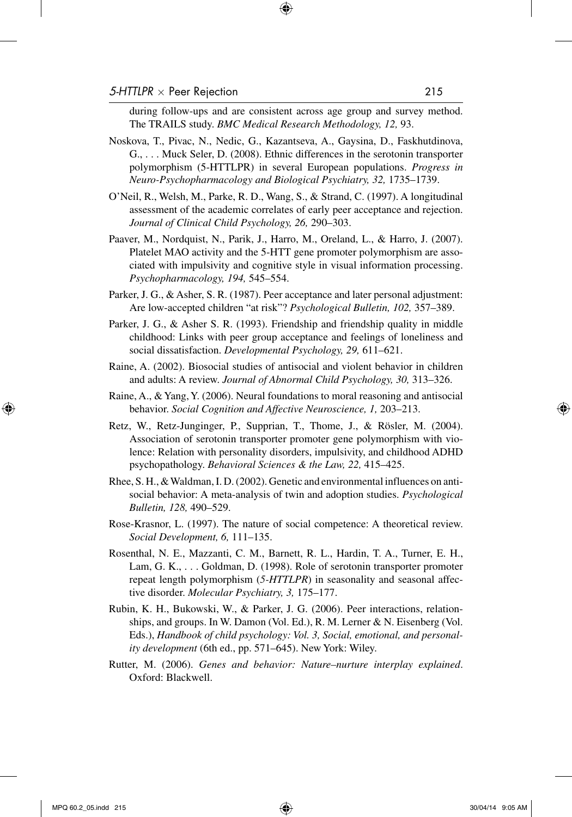during follow-ups and are consistent across age group and survey method. The TRAILS study. *BMC Medical Research Methodology, 12,* 93.

- Noskova, T., Pivac, N., Nedic, G., Kazantseva, A., Gaysina, D., Faskhutdinova, G., . . . Muck Seler, D. (2008). Ethnic differences in the serotonin transporter polymorphism (5-HTTLPR) in several European populations. *Progress in Neuro-Psychopharmacology and Biological Psychiatry, 32,* 1735–1739.
- O'Neil, R., Welsh, M., Parke, R. D., Wang, S., & Strand, C. (1997). A longitudinal assessment of the academic correlates of early peer acceptance and rejection. *Journal of Clinical Child Psychology, 26,* 290–303.
- Paaver, M., Nordquist, N., Parik, J., Harro, M., Oreland, L., & Harro, J. (2007). Platelet MAO activity and the 5-HTT gene promoter polymorphism are associated with impulsivity and cognitive style in visual information processing. *Psychopharmacology, 194,* 545–554.
- Parker, J. G., & Asher, S. R. (1987). Peer acceptance and later personal adjustment: Are low-accepted children "at risk"? *Psychological Bulletin, 102,* 357–389.
- Parker, J. G., & Asher S. R. (1993). Friendship and friendship quality in middle childhood: Links with peer group acceptance and feelings of loneliness and social dissatisfaction. *Developmental Psychology, 29,* 611–621.
- Raine, A. (2002). Biosocial studies of antisocial and violent behavior in children and adults: A review. *Journal of Abnormal Child Psychology, 30,* 313–326.
- Raine, A., & Yang, Y. (2006). Neural foundations to moral reasoning and antisocial behavior. *Social Cognition and Affective Neuroscience, 1,* 203–213.
- Retz, W., Retz-Junginger, P., Supprian, T., Thome, J., & Rösler, M. (2004). Association of serotonin transporter promoter gene polymorphism with violence: Relation with personality disorders, impulsivity, and childhood ADHD psychopathology. *Behavioral Sciences & the Law, 22,* 415–425.
- Rhee, S. H., & Waldman, I. D. (2002). Genetic and environmental influences on antisocial behavior: A meta-analysis of twin and adoption studies. *Psychological Bulletin, 128,* 490–529.
- Rose-Krasnor, L. (1997). The nature of social competence: A theoretical review. *Social Development, 6,* 111–135.
- Rosenthal, N. E., Mazzanti, C. M., Barnett, R. L., Hardin, T. A., Turner, E. H., Lam, G. K., . . . Goldman, D. (1998). Role of serotonin transporter promoter repeat length polymorphism (*5-HTTLPR*) in seasonality and seasonal affective disorder. *Molecular Psychiatry, 3,* 175–177.
- Rubin, K. H., Bukowski, W., & Parker, J. G. (2006). Peer interactions, relationships, and groups. In W. Damon (Vol. Ed.), R. M. Lerner & N. Eisenberg (Vol. Eds.), *Handbook of child psychology: Vol. 3, Social, emotional, and personality development* (6th ed., pp. 571–645). New York: Wiley.
- Rutter, M. (2006). *Genes and behavior: Nature–nurture interplay explained*. Oxford: Blackwell.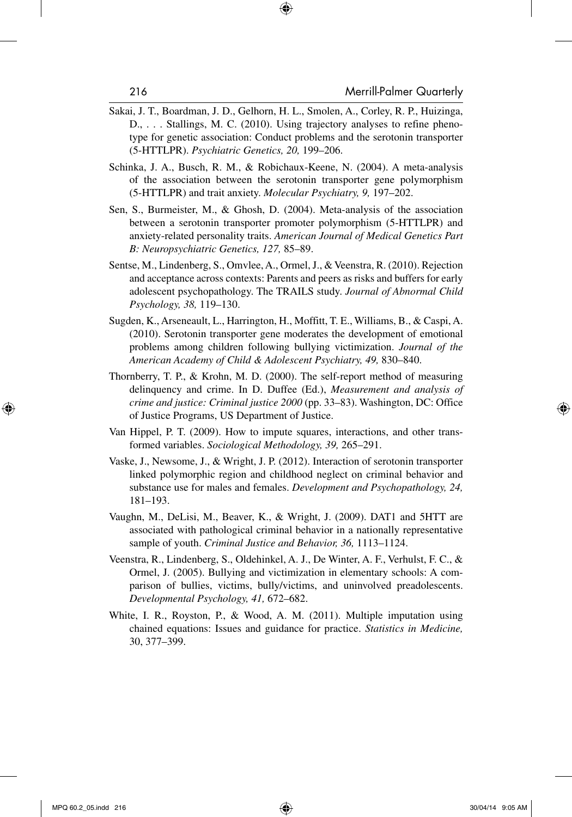- Sakai, J. T., Boardman, J. D., Gelhorn, H. L., Smolen, A., Corley, R. P., Huizinga, D., . . . Stallings, M. C. (2010). Using trajectory analyses to refine phenotype for genetic association: Conduct problems and the serotonin transporter (5-HTTLPR). *Psychiatric Genetics, 20,* 199–206.
- Schinka, J. A., Busch, R. M., & Robichaux-Keene, N. (2004). A meta-analysis of the association between the serotonin transporter gene polymorphism (5-HTTLPR) and trait anxiety. *Molecular Psychiatry, 9,* 197–202.
- Sen, S., Burmeister, M., & Ghosh, D. (2004). Meta-analysis of the association between a serotonin transporter promoter polymorphism (5-HTTLPR) and anxiety-related personality traits. *American Journal of Medical Genetics Part B: Neuropsychiatric Genetics, 127,* 85–89.
- Sentse, M., Lindenberg, S., Omvlee, A., Ormel, J., & Veenstra, R. (2010). Rejection and acceptance across contexts: Parents and peers as risks and buffers for early adolescent psychopathology. The TRAILS study. *Journal of Abnormal Child Psychology, 38,* 119–130.
- Sugden, K., Arseneault, L., Harrington, H., Moffitt, T. E., Williams, B., & Caspi, A. (2010). Serotonin transporter gene moderates the development of emotional problems among children following bullying victimization. *Journal of the American Academy of Child & Adolescent Psychiatry, 49,* 830–840.
- Thornberry, T. P., & Krohn, M. D. (2000). The self-report method of measuring delinquency and crime. In D. Duffee (Ed.), *Measurement and analysis of crime and justice: Criminal justice 2000* (pp. 33–83). Washington, DC: Office of Justice Programs, US Department of Justice.
- Van Hippel, P. T. (2009). How to impute squares, interactions, and other transformed variables. *Sociological Methodology, 39,* 265–291.
- Vaske, J., Newsome, J., & Wright, J. P. (2012). Interaction of serotonin transporter linked polymorphic region and childhood neglect on criminal behavior and substance use for males and females. *Development and Psychopathology, 24,* 181–193.
- Vaughn, M., DeLisi, M., Beaver, K., & Wright, J. (2009). DAT1 and 5HTT are associated with pathological criminal behavior in a nationally representative sample of youth. *Criminal Justice and Behavior, 36,* 1113–1124.
- Veenstra, R., Lindenberg, S., Oldehinkel, A. J., De Winter, A. F., Verhulst, F. C., & Ormel, J. (2005). Bullying and victimization in elementary schools: A comparison of bullies, victims, bully/victims, and uninvolved preadolescents. *Developmental Psychology, 41,* 672–682.
- White, I. R., Royston, P., & Wood, A. M. (2011). Multiple imputation using chained equations: Issues and guidance for practice. *Statistics in Medicine,* 30, 377–399.